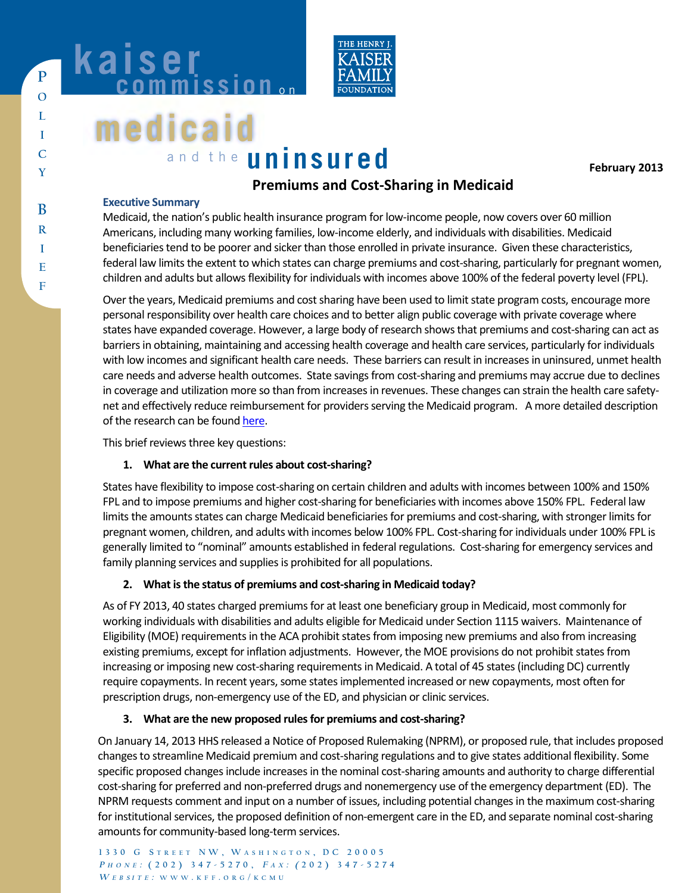

# **medicaid** a n d t h e **uninsured medicaid KAISEI**<br>Commission<sub>on</sub>

**kaiser**<br>commission...

**February 2013** 

## **anning and Cost-Sharing in Medicaid Premiums and Cost-Sharing in Medicaid**

#### **Executive Summary**

**P O P L O I L C I Y C**

**B R B I R E I F E**

**F**

Medicaid, the nation's public health insurance program for low-income people, now covers over 60 million Americans, including many working families, low-income elderly, and individuals with disabilities. Medicaid beneficiaries tend to be poorer and sicker than those enrolled in private insurance. Given these characteristics, federal law limits the extent to which states can charge premiums and cost-sharing, particularly for pregnant women, children and adults but allows flexibility for individuals with incomes above 100% of the federal poverty level (FPL).

Over the years, Medicaid premiums and cost sharing have been used to limit state program costs, encourage more personal responsibility over health care choices and to better align public coverage with private coverage where states have expanded coverage. However, a large body of research shows that premiums and cost-sharing can act as barriers in obtaining, maintaining and accessing health coverage and health care services, particularly for individuals with low incomes and significant health care needs. These barriers can result in increases in uninsured, unmet health care needs and adverse health outcomes. State savings from cost-sharing and premiums may accrue due to declines in coverage and utilization more so than from increases in revenues. These changes can strain the health care safetynet and effectively reduce reimbursement for providers serving the Medicaid program. A more detailed description of the research can be foun[d here.](http://www.kff.org/medicaid/8417.cfm) 

This brief reviews three key questions:

#### **1. What are the current rules about cost-sharing?**

States have flexibility to impose cost-sharing on certain children and adults with incomes between 100% and 150% FPL and to impose premiums and higher cost-sharing for beneficiaries with incomes above 150% FPL. Federal law limits the amounts states can charge Medicaid beneficiaries for premiums and cost-sharing, with stronger limits for pregnant women, children, and adults with incomes below 100% FPL. Cost-sharing for individuals under 100% FPL is generally limited to "nominal" amounts established in federal regulations. Cost-sharing for emergency services and family planning services and supplies is prohibited for all populations.

### **2. What is the status of premiums and cost-sharing in Medicaid today?**

As of FY 2013, 40 states charged premiums for at least one beneficiary group in Medicaid, most commonly for working individuals with disabilities and adults eligible for Medicaid under Section 1115 waivers. Maintenance of Eligibility (MOE) requirements in the ACA prohibit states from imposing new premiums and also from increasing existing premiums, except for inflation adjustments. However, the MOE provisions do not prohibit states from increasing or imposing new cost-sharing requirements in Medicaid. A total of 45 states (including DC) currently require copayments. In recent years, some states implemented increased or new copayments, most often for prescription drugs, non-emergency use of the ED, and physician or clinic services.

### **3. What are the new proposed rules for premiums and cost-sharing?**

**1 3 3 0 G S T R E E T N W , W A S H I N G T O N , D C 2 0 0 0 5** amounts for community-based long-term services. On January 14, 2013 HHS released a Notice of Proposed Rulemaking (NPRM), or proposed rule, that includes proposed changes to streamline Medicaid premium and cost-sharing regulations and to give states additional flexibility. Some specific proposed changes include increases in the nominal cost-sharing amounts and authority to charge differential cost-sharing for preferred and non-preferred drugs and nonemergency use of the emergency department (ED). The NPRM requests comment and input on a number of issues, including potential changes in the maximum cost-sharing for institutional services, the proposed definition of non-emergent care in the ED, and separate nominal cost-sharing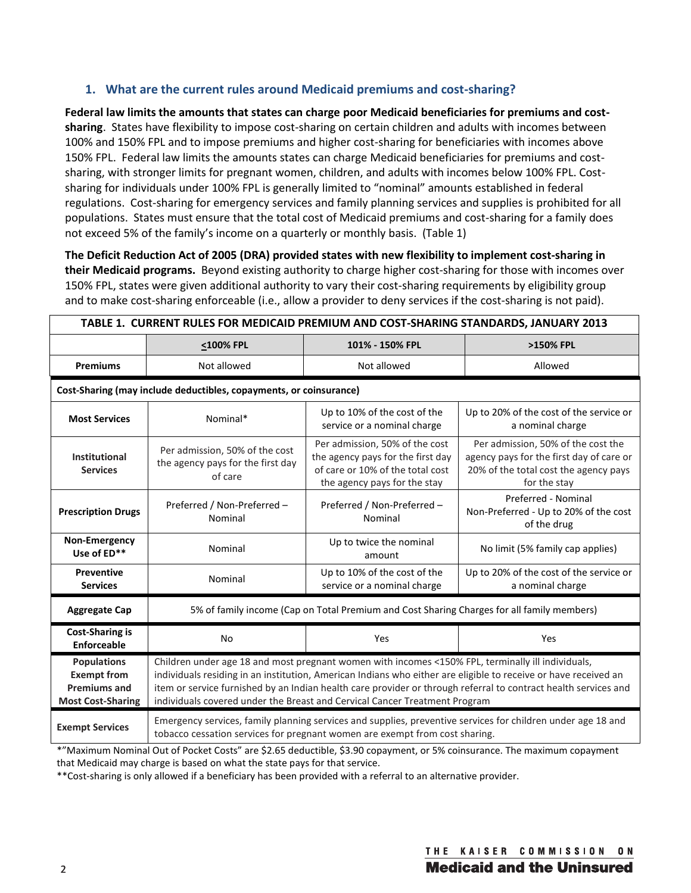#### **1. What are the current rules around Medicaid premiums and cost-sharing?**

**Federal law limits the amounts that states can charge poor Medicaid beneficiaries for premiums and costsharing**. States have flexibility to impose cost-sharing on certain children and adults with incomes between 100% and 150% FPL and to impose premiums and higher cost-sharing for beneficiaries with incomes above 150% FPL. Federal law limits the amounts states can charge Medicaid beneficiaries for premiums and costsharing, with stronger limits for pregnant women, children, and adults with incomes below 100% FPL. Costsharing for individuals under 100% FPL is generally limited to "nominal" amounts established in federal regulations. Cost-sharing for emergency services and family planning services and supplies is prohibited for all populations. States must ensure that the total cost of Medicaid premiums and cost-sharing for a family does not exceed 5% of the family's income on a quarterly or monthly basis. (Table 1)

**The Deficit Reduction Act of 2005 (DRA) provided states with new flexibility to implement cost-sharing in their Medicaid programs.** Beyond existing authority to charge higher cost-sharing for those with incomes over 150% FPL, states were given additional authority to vary their cost-sharing requirements by eligibility group and to make cost-sharing enforceable (i.e., allow a provider to deny services if the cost-sharing is not paid).

| TABLE 1. CURRENT RULES FOR MEDICAID PREMIUM AND COST-SHARING STANDARDS, JANUARY 2013        |                                                                                                                                                                                                                                                                                                                                                                                                                       |                                                                                                                                         |                                                                                                                                         |  |  |  |
|---------------------------------------------------------------------------------------------|-----------------------------------------------------------------------------------------------------------------------------------------------------------------------------------------------------------------------------------------------------------------------------------------------------------------------------------------------------------------------------------------------------------------------|-----------------------------------------------------------------------------------------------------------------------------------------|-----------------------------------------------------------------------------------------------------------------------------------------|--|--|--|
|                                                                                             | <100% FPL                                                                                                                                                                                                                                                                                                                                                                                                             | 101% - 150% FPL                                                                                                                         | >150% FPL                                                                                                                               |  |  |  |
| <b>Premiums</b>                                                                             | Not allowed                                                                                                                                                                                                                                                                                                                                                                                                           | Not allowed                                                                                                                             | Allowed                                                                                                                                 |  |  |  |
| Cost-Sharing (may include deductibles, copayments, or coinsurance)                          |                                                                                                                                                                                                                                                                                                                                                                                                                       |                                                                                                                                         |                                                                                                                                         |  |  |  |
| <b>Most Services</b>                                                                        | Nominal*                                                                                                                                                                                                                                                                                                                                                                                                              | Up to 10% of the cost of the<br>service or a nominal charge                                                                             | Up to 20% of the cost of the service or<br>a nominal charge                                                                             |  |  |  |
| Institutional<br><b>Services</b>                                                            | Per admission, 50% of the cost<br>the agency pays for the first day<br>of care                                                                                                                                                                                                                                                                                                                                        | Per admission, 50% of the cost<br>the agency pays for the first day<br>of care or 10% of the total cost<br>the agency pays for the stay | Per admission, 50% of the cost the<br>agency pays for the first day of care or<br>20% of the total cost the agency pays<br>for the stay |  |  |  |
| <b>Prescription Drugs</b>                                                                   | Preferred / Non-Preferred -<br>Nominal                                                                                                                                                                                                                                                                                                                                                                                | Preferred / Non-Preferred -<br>Nominal                                                                                                  | Preferred - Nominal<br>Non-Preferred - Up to 20% of the cost<br>of the drug                                                             |  |  |  |
| Non-Emergency<br>Use of ED**                                                                | Nominal                                                                                                                                                                                                                                                                                                                                                                                                               | Up to twice the nominal<br>amount                                                                                                       | No limit (5% family cap applies)                                                                                                        |  |  |  |
| <b>Preventive</b><br><b>Services</b>                                                        | Nominal                                                                                                                                                                                                                                                                                                                                                                                                               | Up to 10% of the cost of the<br>service or a nominal charge                                                                             | Up to 20% of the cost of the service or<br>a nominal charge                                                                             |  |  |  |
| <b>Aggregate Cap</b>                                                                        | 5% of family income (Cap on Total Premium and Cost Sharing Charges for all family members)                                                                                                                                                                                                                                                                                                                            |                                                                                                                                         |                                                                                                                                         |  |  |  |
| <b>Cost-Sharing is</b><br>Enforceable                                                       | <b>No</b>                                                                                                                                                                                                                                                                                                                                                                                                             | Yes                                                                                                                                     | Yes                                                                                                                                     |  |  |  |
| <b>Populations</b><br><b>Exempt from</b><br><b>Premiums and</b><br><b>Most Cost-Sharing</b> | Children under age 18 and most pregnant women with incomes <150% FPL, terminally ill individuals,<br>individuals residing in an institution, American Indians who either are eligible to receive or have received an<br>item or service furnished by an Indian health care provider or through referral to contract health services and<br>individuals covered under the Breast and Cervical Cancer Treatment Program |                                                                                                                                         |                                                                                                                                         |  |  |  |
| <b>Exempt Services</b>                                                                      | Emergency services, family planning services and supplies, preventive services for children under age 18 and<br>tobacco cessation services for pregnant women are exempt from cost sharing.                                                                                                                                                                                                                           |                                                                                                                                         |                                                                                                                                         |  |  |  |

\*"Maximum Nominal Out of Pocket Costs" are \$2.65 deductible, \$3.90 copayment, or 5% coinsurance. The maximum copayment that Medicaid may charge is based on what the state pays for that service.

\*\*Cost-sharing is only allowed if a beneficiary has been provided with a referral to an alternative provider.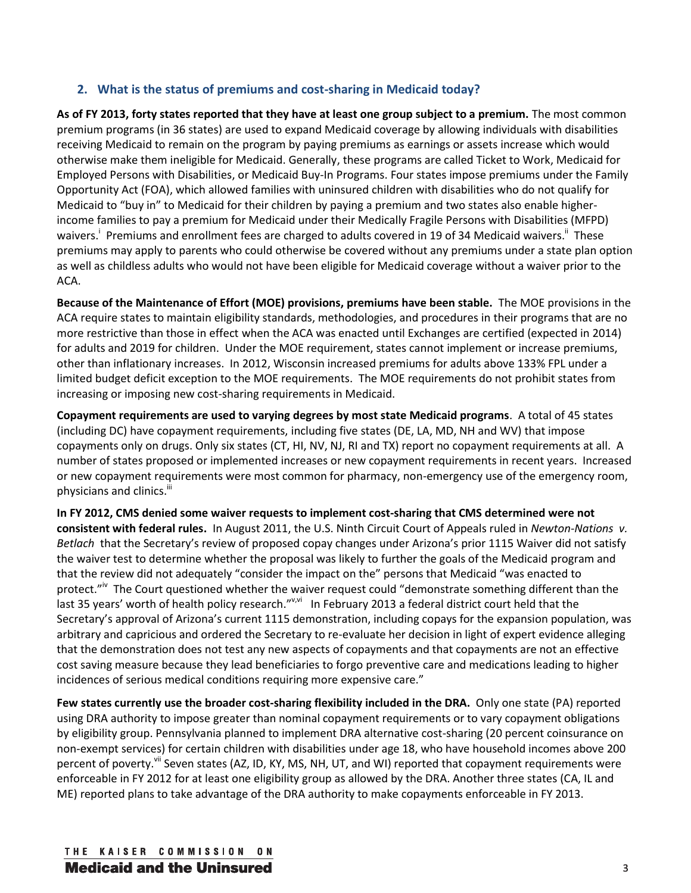#### **2. What is the status of premiums and cost-sharing in Medicaid today?**

**As of FY 2013, forty states reported that they have at least one group subject to a premium.** The most common premium programs (in 36 states) are used to expand Medicaid coverage by allowing individuals with disabilities receiving Medicaid to remain on the program by paying premiums as earnings or assets increase which would otherwise make them ineligible for Medicaid. Generally, these programs are called Ticket to Work, Medicaid for Employed Persons with Disabilities, or Medicaid Buy-In Programs. Four states impose premiums under the Family Opportunity Act (FOA), which allowed families with uninsured children with disabilities who do not qualify for Medicaid to "buy in" to Medicaid for their children by paying a premium and two states also enable higherincome families to pay a premium for Medicaid under their Medically Fragile Persons with Disabilities (MFPD) waivers.<sup>i</sup> Premiums and enrollment fees are charged to adults covered in 19 of 34 Medicaid waivers.<sup>ii</sup> These premiums may apply to parents who could otherwise be covered without any premiums under a state plan option as well as childless adults who would not have been eligible for Medicaid coverage without a waiver prior to the ACA.

**Because of the Maintenance of Effort (MOE) provisions, premiums have been stable.** The MOE provisions in the ACA require states to maintain eligibility standards, methodologies, and procedures in their programs that are no more restrictive than those in effect when the ACA was enacted until Exchanges are certified (expected in 2014) for adults and 2019 for children. Under the MOE requirement, states cannot implement or increase premiums, other than inflationary increases. In 2012, Wisconsin increased premiums for adults above 133% FPL under a limited budget deficit exception to the MOE requirements. The MOE requirements do not prohibit states from increasing or imposing new cost-sharing requirements in Medicaid.

**Copayment requirements are used to varying degrees by most state Medicaid programs**. A total of 45 states (including DC) have copayment requirements, including five states (DE, LA, MD, NH and WV) that impose copayments only on drugs. Only six states (CT, HI, NV, NJ, RI and TX) report no copayment requirements at all. A number of states proposed or implemented increases or new copayment requirements in recent years. Increased or new copayment requirements were most common for pharmacy, non-emergency use of the emergency room, physicians and clinics.<sup>iii</sup>

**In FY 2012, CMS denied some waiver requests to implement cost-sharing that CMS determined were not consistent with federal rules.** In August 2011, the U.S. Ninth Circuit Court of Appeals ruled in *Newton-Nations v. Betlach* that the Secretary's review of proposed copay changes under Arizona's prior 1115 Waiver did not satisfy the waiver test to determine whether the proposal was likely to further the goals of the Medicaid program and that the review did not adequately "consider the impact on the" persons that Medicaid "was enacted to protect."<sup>iv</sup> The Court questioned whether the waiver request could "demonstrate something different than the last 35 years' worth of health policy research."<sup>v,vi</sup> In February 2013 a federal district court held that the Secretary's approval of Arizona's current 1115 demonstration, including copays for the expansion population, was arbitrary and capricious and ordered the Secretary to re-evaluate her decision in light of expert evidence alleging that the demonstration does not test any new aspects of copayments and that copayments are not an effective cost saving measure because they lead beneficiaries to forgo preventive care and medications leading to higher incidences of serious medical conditions requiring more expensive care."

**Few states currently use the broader cost-sharing flexibility included in the DRA.** Only one state (PA) reported using DRA authority to impose greater than nominal copayment requirements or to vary copayment obligations by eligibility group. Pennsylvania planned to implement DRA alternative cost-sharing (20 percent coinsurance on non-exempt services) for certain children with disabilities under age 18, who have household incomes above 200 percent of poverty.<sup>vii</sup> Seven states (AZ, ID, KY, MS, NH, UT, and WI) reported that copayment requirements were enforceable in FY 2012 for at least one eligibility group as allowed by the DRA. Another three states (CA, IL and ME) reported plans to take advantage of the DRA authority to make copayments enforceable in FY 2013.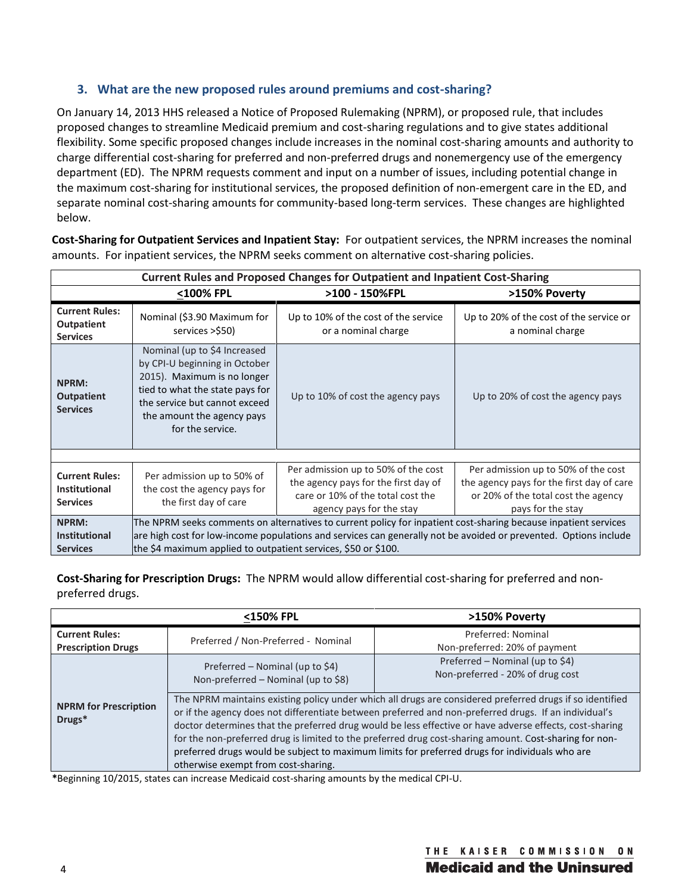#### **3. What are the new proposed rules around premiums and cost-sharing?**

On January 14, 2013 HHS released a Notice of Proposed Rulemaking (NPRM), or proposed rule, that includes proposed changes to streamline Medicaid premium and cost-sharing regulations and to give states additional flexibility. Some specific proposed changes include increases in the nominal cost-sharing amounts and authority to charge differential cost-sharing for preferred and non-preferred drugs and nonemergency use of the emergency department (ED). The NPRM requests comment and input on a number of issues, including potential change in the maximum cost-sharing for institutional services, the proposed definition of non-emergent care in the ED, and separate nominal cost-sharing amounts for community-based long-term services. These changes are highlighted below.

**Cost-Sharing for Outpatient Services and Inpatient Stay:** For outpatient services, the NPRM increases the nominal amounts. For inpatient services, the NPRM seeks comment on alternative cost-sharing policies.

| <b>Current Rules and Proposed Changes for Outpatient and Inpatient Cost-Sharing</b> |                                                                                                                                                                                                                    |                                                                                                                                              |                                                                                                                                              |  |
|-------------------------------------------------------------------------------------|--------------------------------------------------------------------------------------------------------------------------------------------------------------------------------------------------------------------|----------------------------------------------------------------------------------------------------------------------------------------------|----------------------------------------------------------------------------------------------------------------------------------------------|--|
|                                                                                     | <100% FPL                                                                                                                                                                                                          | >100 - 150%FPL                                                                                                                               | >150% Poverty                                                                                                                                |  |
| <b>Current Rules:</b><br><b>Outpatient</b><br><b>Services</b>                       | Nominal (\$3.90 Maximum for<br>services >\$50)                                                                                                                                                                     | Up to 10% of the cost of the service<br>or a nominal charge                                                                                  | Up to 20% of the cost of the service or<br>a nominal charge                                                                                  |  |
| <b>NPRM:</b><br><b>Outpatient</b><br><b>Services</b>                                | Nominal (up to \$4 Increased<br>by CPI-U beginning in October<br>2015). Maximum is no longer<br>tied to what the state pays for<br>the service but cannot exceed<br>the amount the agency pays<br>for the service. | Up to 10% of cost the agency pays                                                                                                            | Up to 20% of cost the agency pays                                                                                                            |  |
|                                                                                     |                                                                                                                                                                                                                    |                                                                                                                                              |                                                                                                                                              |  |
| <b>Current Rules:</b><br><b>Institutional</b><br><b>Services</b>                    | Per admission up to 50% of<br>the cost the agency pays for<br>the first day of care                                                                                                                                | Per admission up to 50% of the cost<br>the agency pays for the first day of<br>care or 10% of the total cost the<br>agency pays for the stay | Per admission up to 50% of the cost<br>the agency pays for the first day of care<br>or 20% of the total cost the agency<br>pays for the stay |  |
| NPRM:                                                                               | The NPRM seeks comments on alternatives to current policy for inpatient cost-sharing because inpatient services                                                                                                    |                                                                                                                                              |                                                                                                                                              |  |
| <b>Institutional</b>                                                                | are high cost for low-income populations and services can generally not be avoided or prevented. Options include                                                                                                   |                                                                                                                                              |                                                                                                                                              |  |
| <b>Services</b>                                                                     | the \$4 maximum applied to outpatient services, \$50 or \$100.                                                                                                                                                     |                                                                                                                                              |                                                                                                                                              |  |

**Cost-Sharing for Prescription Drugs:** The NPRM would allow differential cost-sharing for preferred and nonpreferred drugs.

|                                                    | <150% FPL                                                                                                                                                                                                                                                                                                                                                                                                                                                                                                                                                                       | >150% Poverty                                                       |  |
|----------------------------------------------------|---------------------------------------------------------------------------------------------------------------------------------------------------------------------------------------------------------------------------------------------------------------------------------------------------------------------------------------------------------------------------------------------------------------------------------------------------------------------------------------------------------------------------------------------------------------------------------|---------------------------------------------------------------------|--|
| <b>Current Rules:</b><br><b>Prescription Drugs</b> | Preferred / Non-Preferred - Nominal                                                                                                                                                                                                                                                                                                                                                                                                                                                                                                                                             | Preferred: Nominal<br>Non-preferred: 20% of payment                 |  |
|                                                    | Preferred – Nominal (up to \$4)<br>Non-preferred - Nominal (up to \$8)                                                                                                                                                                                                                                                                                                                                                                                                                                                                                                          | Preferred - Nominal (up to \$4)<br>Non-preferred - 20% of drug cost |  |
| <b>NPRM for Prescription</b><br>Drugs*             | The NPRM maintains existing policy under which all drugs are considered preferred drugs if so identified<br>or if the agency does not differentiate between preferred and non-preferred drugs. If an individual's<br>doctor determines that the preferred drug would be less effective or have adverse effects, cost-sharing<br>for the non-preferred drug is limited to the preferred drug cost-sharing amount. Cost-sharing for non-<br>preferred drugs would be subject to maximum limits for preferred drugs for individuals who are<br>otherwise exempt from cost-sharing. |                                                                     |  |

**\***Beginning 10/2015, states can increase Medicaid cost-sharing amounts by the medical CPI-U.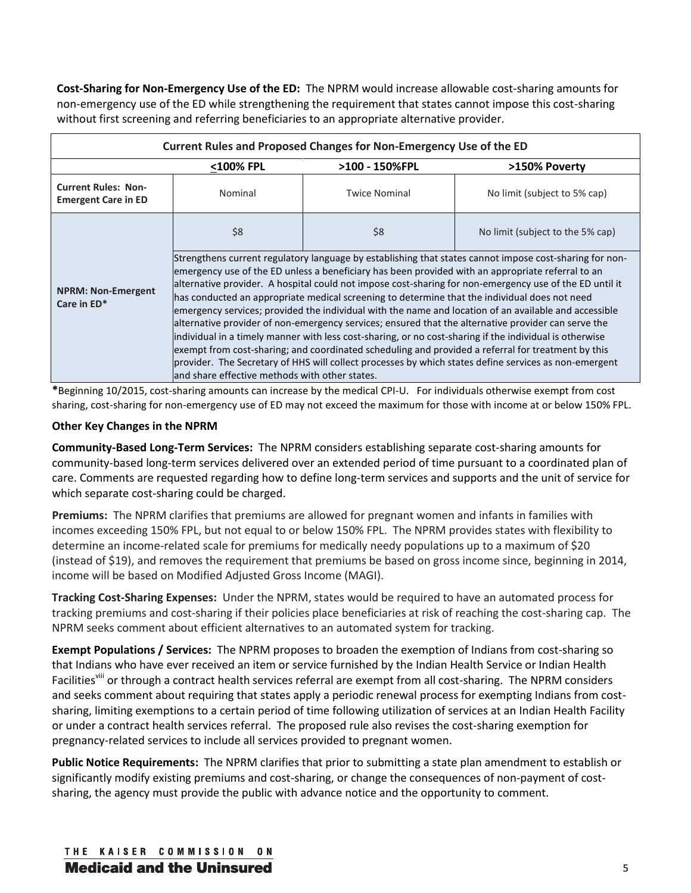**Cost-Sharing for Non-Emergency Use of the ED:** The NPRM would increase allowable cost-sharing amounts for non-emergency use of the ED while strengthening the requirement that states cannot impose this cost-sharing without first screening and referring beneficiaries to an appropriate alternative provider.

| Current Rules and Proposed Changes for Non-Emergency Use of the ED                          |                                                                                                                                                                                                                                                                                                                                                                                                                                                                                                                                                                                                                                                                                                                                                                                                                                                                                                                                                                     |                      |                                  |  |  |  |
|---------------------------------------------------------------------------------------------|---------------------------------------------------------------------------------------------------------------------------------------------------------------------------------------------------------------------------------------------------------------------------------------------------------------------------------------------------------------------------------------------------------------------------------------------------------------------------------------------------------------------------------------------------------------------------------------------------------------------------------------------------------------------------------------------------------------------------------------------------------------------------------------------------------------------------------------------------------------------------------------------------------------------------------------------------------------------|----------------------|----------------------------------|--|--|--|
|                                                                                             | <100% FPL                                                                                                                                                                                                                                                                                                                                                                                                                                                                                                                                                                                                                                                                                                                                                                                                                                                                                                                                                           | >100 - 150%FPL       | >150% Poverty                    |  |  |  |
| <b>Current Rules: Non-</b><br><b>Emergent Care in ED</b>                                    | Nominal                                                                                                                                                                                                                                                                                                                                                                                                                                                                                                                                                                                                                                                                                                                                                                                                                                                                                                                                                             | <b>Twice Nominal</b> | No limit (subject to 5% cap)     |  |  |  |
|                                                                                             | \$8                                                                                                                                                                                                                                                                                                                                                                                                                                                                                                                                                                                                                                                                                                                                                                                                                                                                                                                                                                 | \$8                  | No limit (subject to the 5% cap) |  |  |  |
| <b>NPRM: Non-Emergent</b><br>Care in ED*<br>land share effective methods with other states. | Strengthens current regulatory language by establishing that states cannot impose cost-sharing for non-<br>emergency use of the ED unless a beneficiary has been provided with an appropriate referral to an<br>alternative provider. A hospital could not impose cost-sharing for non-emergency use of the ED until it<br>has conducted an appropriate medical screening to determine that the individual does not need<br>emergency services; provided the individual with the name and location of an available and accessible<br>alternative provider of non-emergency services; ensured that the alternative provider can serve the<br>lindividual in a timely manner with less cost-sharing, or no cost-sharing if the individual is otherwise<br>exempt from cost-sharing; and coordinated scheduling and provided a referral for treatment by this<br>provider. The Secretary of HHS will collect processes by which states define services as non-emergent |                      |                                  |  |  |  |

**\***Beginning 10/2015, cost-sharing amounts can increase by the medical CPI-U. For individuals otherwise exempt from cost sharing, cost-sharing for non-emergency use of ED may not exceed the maximum for those with income at or below 150% FPL.

#### **Other Key Changes in the NPRM**

**Community-Based Long-Term Services:** The NPRM considers establishing separate cost-sharing amounts for community-based long-term services delivered over an extended period of time pursuant to a coordinated plan of care. Comments are requested regarding how to define long-term services and supports and the unit of service for which separate cost-sharing could be charged.

**Premiums:** The NPRM clarifies that premiums are allowed for pregnant women and infants in families with incomes exceeding 150% FPL, but not equal to or below 150% FPL. The NPRM provides states with flexibility to determine an income-related scale for premiums for medically needy populations up to a maximum of \$20 (instead of \$19), and removes the requirement that premiums be based on gross income since, beginning in 2014, income will be based on Modified Adjusted Gross Income (MAGI).

**Tracking Cost-Sharing Expenses:** Under the NPRM, states would be required to have an automated process for tracking premiums and cost-sharing if their policies place beneficiaries at risk of reaching the cost-sharing cap. The NPRM seeks comment about efficient alternatives to an automated system for tracking.

**Exempt Populations / Services:** The NPRM proposes to broaden the exemption of Indians from cost-sharing so that Indians who have ever received an item or service furnished by the Indian Health Service or Indian Health Facilities<sup>viii</sup> or through a contract health services referral are exempt from all cost-sharing. The NPRM considers and seeks comment about requiring that states apply a periodic renewal process for exempting Indians from costsharing, limiting exemptions to a certain period of time following utilization of services at an Indian Health Facility or under a contract health services referral. The proposed rule also revises the cost-sharing exemption for pregnancy-related services to include all services provided to pregnant women.

**Public Notice Requirements:** The NPRM clarifies that prior to submitting a state plan amendment to establish or significantly modify existing premiums and cost-sharing, or change the consequences of non-payment of costsharing, the agency must provide the public with advance notice and the opportunity to comment.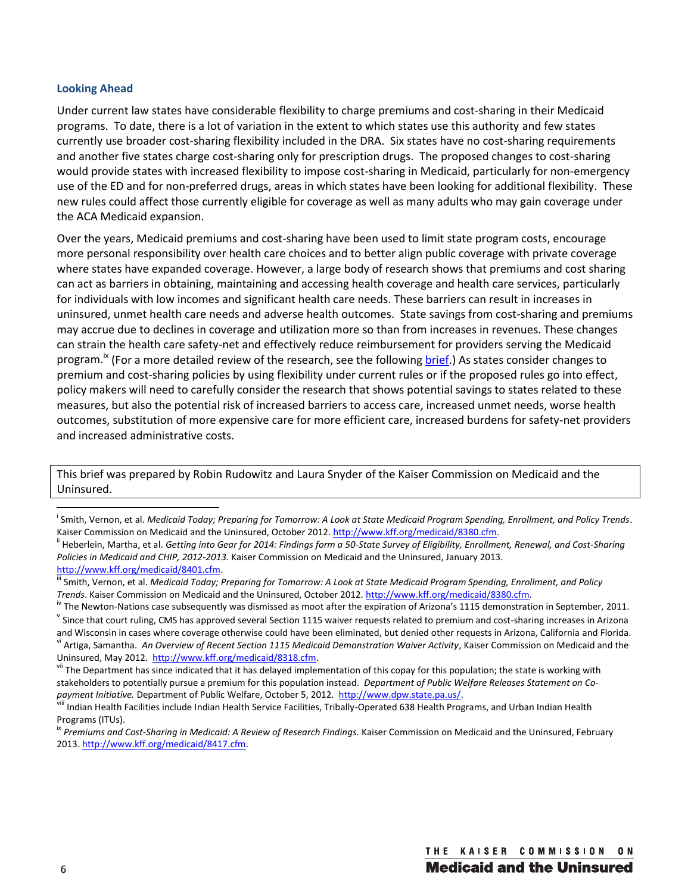#### **Looking Ahead**

Under current law states have considerable flexibility to charge premiums and cost-sharing in their Medicaid programs. To date, there is a lot of variation in the extent to which states use this authority and few states currently use broader cost-sharing flexibility included in the DRA. Six states have no cost-sharing requirements and another five states charge cost-sharing only for prescription drugs. The proposed changes to cost-sharing would provide states with increased flexibility to impose cost-sharing in Medicaid, particularly for non-emergency use of the ED and for non-preferred drugs, areas in which states have been looking for additional flexibility. These new rules could affect those currently eligible for coverage as well as many adults who may gain coverage under the ACA Medicaid expansion.

Over the years, Medicaid premiums and cost-sharing have been used to limit state program costs, encourage more personal responsibility over health care choices and to better align public coverage with private coverage where states have expanded coverage. However, a large body of research shows that premiums and cost sharing can act as barriers in obtaining, maintaining and accessing health coverage and health care services, particularly for individuals with low incomes and significant health care needs. These barriers can result in increases in uninsured, unmet health care needs and adverse health outcomes. State savings from cost-sharing and premiums may accrue due to declines in coverage and utilization more so than from increases in revenues. These changes can strain the health care safety-net and effectively reduce reimbursement for providers serving the Medicaid program.<sup>ix</sup> (For a more detailed review of the research, see the following **brief.**) As states consider changes to premium and cost-sharing policies by using flexibility under current rules or if the proposed rules go into effect, policy makers will need to carefully consider the research that shows potential savings to states related to these measures, but also the potential risk of increased barriers to access care, increased unmet needs, worse health outcomes, substitution of more expensive care for more efficient care, increased burdens for safety-net providers and increased administrative costs.

This brief was prepared by Robin Rudowitz and Laura Snyder of the Kaiser Commission on Medicaid and the Uninsured.

 $\overline{a}$ 

<sup>&</sup>lt;sup>i</sup> Smith, Vernon, et al. *Medicaid Today; Preparing for Tomorrow: A Look at State Medicaid Program Spending, Enrollment, and Policy Trends.* Kaiser Commission on Medicaid and the Uninsured, October 2012. http://www.kff.org/medicaid/8380.cfm.<br><sup>ii</sup> Heberlein, Martha, et al. Getting into Gear for 2014: Findings form a 50-State Survey of Eligibility, Enrollment, Re

*Policies in Medicaid and CHIP, 2012-2013.* Kaiser Commission on Medicaid and the Uninsured, January 2013.

http://www.kff.org/medicaid/8401.cfm.<br><sup>iii</sup> Smith, Vernon, et al. *Medicaid Today; Preparing for Tomorrow: A Look at State Medicaid Program Spending, Enrollment, and Policy* 

*Trends*. Kaiser Commission on Medicaid and the Uninsured, October 2012. http://www.kff.org/medicaid/8380.cfm.<br><sup>Iv</sup> The Newton-Nations case subsequently was dismissed as moot after the expiration of Arizona's 1115 demonstr

and Wisconsin in cases where coverage otherwise could have been eliminated, but denied other requests in Arizona, California and Florida. v<sup>i</sup> Artiga, Samantha. *An Overview of Recent Section 1115 Medicaid Demonstration Waiver Activity*, Kaiser Commission on Medicaid and the

Uninsured, May 2012. http://www.kff.org/medicaid/8318.cfm.<br>vii The Department has since indicated that it has delayed implementation of this copay for this population; the state is working with stakeholders to potentially pursue a premium for this population instead. *Department of Public Welfare Releases Statement on Co*payment Initiative. Department of Public Welfare, October 5, 2012. http://www.dpw.state.pa.us/.<br>
Indian Health Facilities include Indian Health Service Facilities, Tribally-Operated 638 Health Programs, and Urban Indian He

Programs (ITUs).

<sup>&</sup>lt;sup>ix</sup> Premiums and Cost-Sharing in Medicaid: A Review of Research Findings. Kaiser Commission on Medicaid and the Uninsured, February 2013. http://www.kff.org/medicaid/8417.cfm.